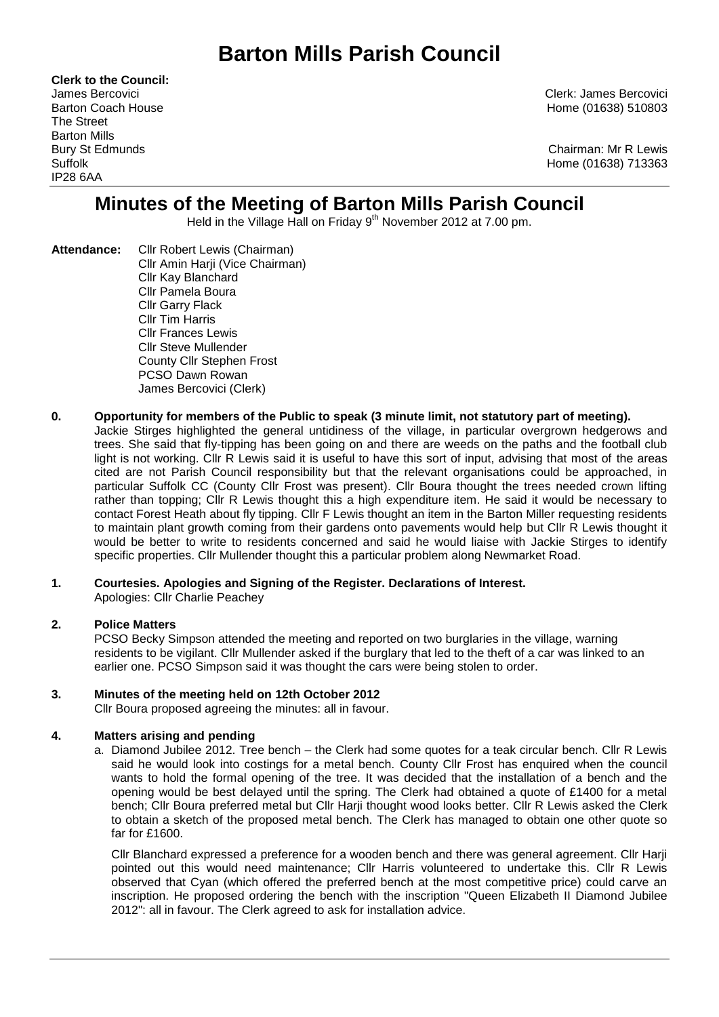# **Barton Mills Parish Council**

**Clerk to the Council:** The Street Barton Mills IP28 6AA

James Bercovici Clerk: James Bercovici Barton Coach House **Home (01638)** 510803

Bury St Edmunds Chairman: Mr R Lewis Suffolk Home (01638) 713363

## **Minutes of the Meeting of Barton Mills Parish Council**

Held in the Village Hall on Friday 9<sup>th</sup> November 2012 at 7.00 pm.

**Attendance:** Cllr Robert Lewis (Chairman) Cllr Amin Harji (Vice Chairman) Cllr Kay Blanchard Cllr Pamela Boura Cllr Garry Flack Cllr Tim Harris Cllr Frances Lewis Cllr Steve Mullender County Cllr Stephen Frost PCSO Dawn Rowan James Bercovici (Clerk)

#### **0. Opportunity for members of the Public to speak (3 minute limit, not statutory part of meeting).**

Jackie Stirges highlighted the general untidiness of the village, in particular overgrown hedgerows and trees. She said that fly-tipping has been going on and there are weeds on the paths and the football club light is not working. Cllr R Lewis said it is useful to have this sort of input, advising that most of the areas cited are not Parish Council responsibility but that the relevant organisations could be approached, in particular Suffolk CC (County Cllr Frost was present). Cllr Boura thought the trees needed crown lifting rather than topping; Cllr R Lewis thought this a high expenditure item. He said it would be necessary to contact Forest Heath about fly tipping. Cllr F Lewis thought an item in the Barton Miller requesting residents to maintain plant growth coming from their gardens onto pavements would help but Cllr R Lewis thought it would be better to write to residents concerned and said he would liaise with Jackie Stirges to identify specific properties. Cllr Mullender thought this a particular problem along Newmarket Road.

### **1. Courtesies. Apologies and Signing of the Register. Declarations of Interest.**

Apologies: Cllr Charlie Peachey

#### **2. Police Matters**

PCSO Becky Simpson attended the meeting and reported on two burglaries in the village, warning residents to be vigilant. Cllr Mullender asked if the burglary that led to the theft of a car was linked to an earlier one. PCSO Simpson said it was thought the cars were being stolen to order.

#### **3. Minutes of the meeting held on 12th October 2012**

Cllr Boura proposed agreeing the minutes: all in favour.

#### **4. Matters arising and pending**

a. Diamond Jubilee 2012. Tree bench – the Clerk had some quotes for a teak circular bench. Cllr R Lewis said he would look into costings for a metal bench. County Cllr Frost has enquired when the council wants to hold the formal opening of the tree. It was decided that the installation of a bench and the opening would be best delayed until the spring. The Clerk had obtained a quote of £1400 for a metal bench; Cllr Boura preferred metal but Cllr Harji thought wood looks better. Cllr R Lewis asked the Clerk to obtain a sketch of the proposed metal bench. The Clerk has managed to obtain one other quote so far for £1600.

Cllr Blanchard expressed a preference for a wooden bench and there was general agreement. Cllr Harji pointed out this would need maintenance; Cllr Harris volunteered to undertake this. Cllr R Lewis observed that Cyan (which offered the preferred bench at the most competitive price) could carve an inscription. He proposed ordering the bench with the inscription "Queen Elizabeth II Diamond Jubilee 2012": all in favour. The Clerk agreed to ask for installation advice.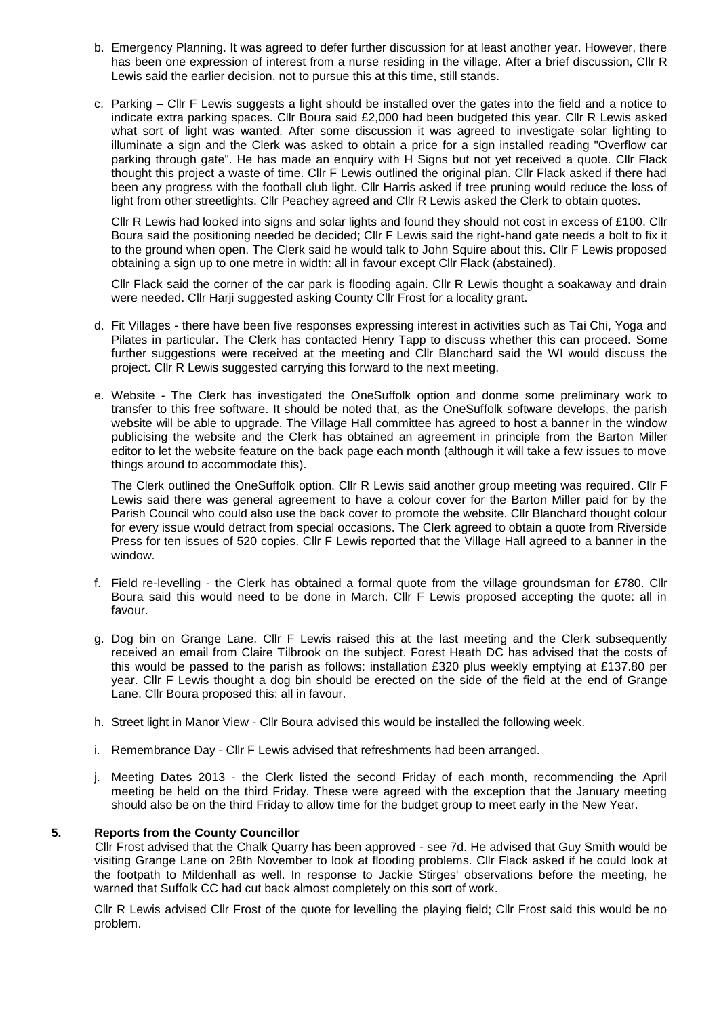- b. Emergency Planning. It was agreed to defer further discussion for at least another year. However, there has been one expression of interest from a nurse residing in the village. After a brief discussion, Cllr R Lewis said the earlier decision, not to pursue this at this time, still stands.
- c. Parking Cllr F Lewis suggests a light should be installed over the gates into the field and a notice to indicate extra parking spaces. Cllr Boura said £2,000 had been budgeted this year. Cllr R Lewis asked what sort of light was wanted. After some discussion it was agreed to investigate solar lighting to illuminate a sign and the Clerk was asked to obtain a price for a sign installed reading "Overflow car parking through gate". He has made an enquiry with H Signs but not yet received a quote. Cllr Flack thought this project a waste of time. Cllr F Lewis outlined the original plan. Cllr Flack asked if there had been any progress with the football club light. Cllr Harris asked if tree pruning would reduce the loss of light from other streetlights. Cllr Peachey agreed and Cllr R Lewis asked the Clerk to obtain quotes.

Cllr R Lewis had looked into signs and solar lights and found they should not cost in excess of £100. Cllr Boura said the positioning needed be decided; Cllr F Lewis said the right-hand gate needs a bolt to fix it to the ground when open. The Clerk said he would talk to John Squire about this. Cllr F Lewis proposed obtaining a sign up to one metre in width: all in favour except Cllr Flack (abstained).

Cllr Flack said the corner of the car park is flooding again. Cllr R Lewis thought a soakaway and drain were needed. Cllr Harji suggested asking County Cllr Frost for a locality grant.

- d. Fit Villages there have been five responses expressing interest in activities such as Tai Chi, Yoga and Pilates in particular. The Clerk has contacted Henry Tapp to discuss whether this can proceed. Some further suggestions were received at the meeting and Cllr Blanchard said the WI would discuss the project. Cllr R Lewis suggested carrying this forward to the next meeting.
- e. Website The Clerk has investigated the OneSuffolk option and donme some preliminary work to transfer to this free software. It should be noted that, as the OneSuffolk software develops, the parish website will be able to upgrade. The Village Hall committee has agreed to host a banner in the window publicising the website and the Clerk has obtained an agreement in principle from the Barton Miller editor to let the website feature on the back page each month (although it will take a few issues to move things around to accommodate this).

The Clerk outlined the OneSuffolk option. Cllr R Lewis said another group meeting was required. Cllr F Lewis said there was general agreement to have a colour cover for the Barton Miller paid for by the Parish Council who could also use the back cover to promote the website. Cllr Blanchard thought colour for every issue would detract from special occasions. The Clerk agreed to obtain a quote from Riverside Press for ten issues of 520 copies. Cllr F Lewis reported that the Village Hall agreed to a banner in the window.

- f. Field re-levelling the Clerk has obtained a formal quote from the village groundsman for £780. Cllr Boura said this would need to be done in March. Cllr F Lewis proposed accepting the quote: all in favour.
- g. Dog bin on Grange Lane. Cllr F Lewis raised this at the last meeting and the Clerk subsequently received an email from Claire Tilbrook on the subject. Forest Heath DC has advised that the costs of this would be passed to the parish as follows: installation £320 plus weekly emptying at £137.80 per year. Cllr F Lewis thought a dog bin should be erected on the side of the field at the end of Grange Lane. Cllr Boura proposed this: all in favour.
- h. Street light in Manor View Cllr Boura advised this would be installed the following week.
- i. Remembrance Day Cllr F Lewis advised that refreshments had been arranged.
- j. Meeting Dates 2013 the Clerk listed the second Friday of each month, recommending the April meeting be held on the third Friday. These were agreed with the exception that the January meeting should also be on the third Friday to allow time for the budget group to meet early in the New Year.

#### **5. Reports from the County Councillor**

Cllr Frost advised that the Chalk Quarry has been approved - see 7d. He advised that Guy Smith would be visiting Grange Lane on 28th November to look at flooding problems. Cllr Flack asked if he could look at the footpath to Mildenhall as well. In response to Jackie Stirges' observations before the meeting, he warned that Suffolk CC had cut back almost completely on this sort of work.

Cllr R Lewis advised Cllr Frost of the quote for levelling the playing field; Cllr Frost said this would be no problem.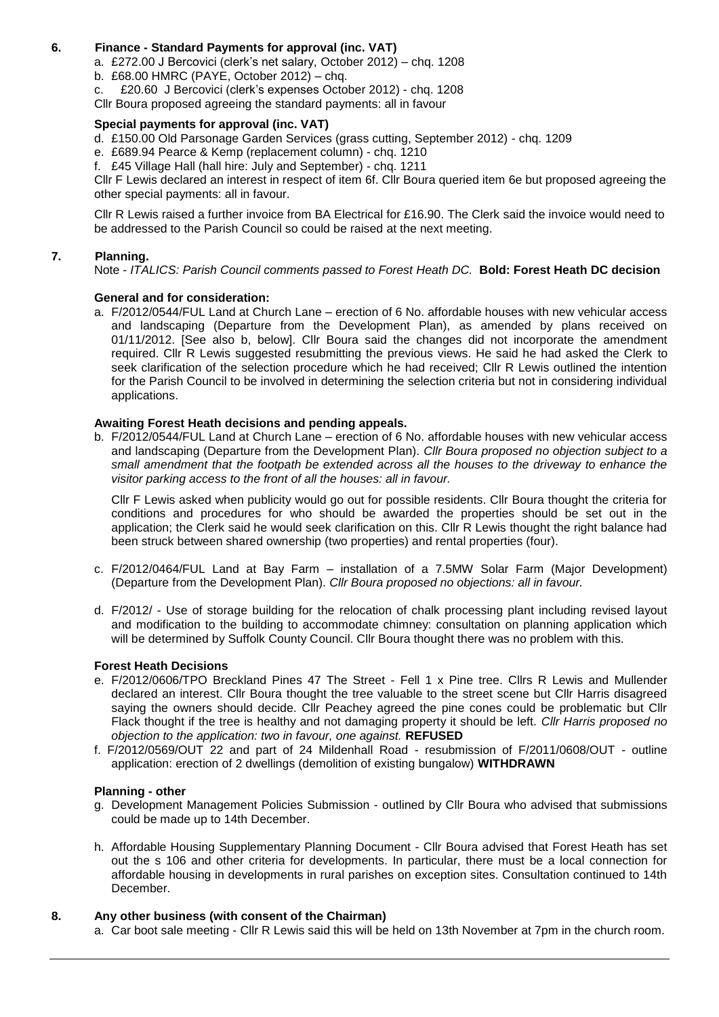#### **6. Finance - Standard Payments for approval (inc. VAT)**

- a. £272.00 J Bercovici (clerk's net salary, October 2012) chq. 1208
- b. £68.00 HMRC (PAYE, October 2012) chq.
- c. £20.60 J Bercovici (clerk's expenses October 2012) chq. 1208
- Cllr Boura proposed agreeing the standard payments: all in favour

#### **Special payments for approval (inc. VAT)**

- d. £150.00 Old Parsonage Garden Services (grass cutting, September 2012) chq. 1209
- e. £689.94 Pearce & Kemp (replacement column) chq. 1210
- f. £45 Village Hall (hall hire: July and September) chq. 1211

Cllr F Lewis declared an interest in respect of item 6f. Cllr Boura queried item 6e but proposed agreeing the other special payments: all in favour.

Cllr R Lewis raised a further invoice from BA Electrical for £16.90. The Clerk said the invoice would need to be addressed to the Parish Council so could be raised at the next meeting.

#### **7. Planning.**

Note - *ITALICS: Parish Council comments passed to Forest Heath DC.* **Bold: Forest Heath DC decision**

#### **General and for consideration:**

a. F/2012/0544/FUL Land at Church Lane – erection of 6 No. affordable houses with new vehicular access and landscaping (Departure from the Development Plan), as amended by plans received on 01/11/2012. [See also b, below]. Cllr Boura said the changes did not incorporate the amendment required. Cllr R Lewis suggested resubmitting the previous views. He said he had asked the Clerk to seek clarification of the selection procedure which he had received; Cllr R Lewis outlined the intention for the Parish Council to be involved in determining the selection criteria but not in considering individual applications.

#### **Awaiting Forest Heath decisions and pending appeals.**

b. F/2012/0544/FUL Land at Church Lane – erection of 6 No. affordable houses with new vehicular access and landscaping (Departure from the Development Plan). *Cllr Boura proposed no objection subject to a small amendment that the footpath be extended across all the houses to the driveway to enhance the visitor parking access to the front of all the houses: all in favour.*

Cllr F Lewis asked when publicity would go out for possible residents. Cllr Boura thought the criteria for conditions and procedures for who should be awarded the properties should be set out in the application; the Clerk said he would seek clarification on this. Cllr R Lewis thought the right balance had been struck between shared ownership (two properties) and rental properties (four).

- c. F/2012/0464/FUL Land at Bay Farm installation of a 7.5MW Solar Farm (Major Development) (Departure from the Development Plan). *Cllr Boura proposed no objections: all in favour.*
- d. F/2012/ Use of storage building for the relocation of chalk processing plant including revised layout and modification to the building to accommodate chimney: consultation on planning application which will be determined by Suffolk County Council. Cllr Boura thought there was no problem with this.

#### **Forest Heath Decisions**

- e. F/2012/0606/TPO Breckland Pines 47 The Street Fell 1 x Pine tree. Cllrs R Lewis and Mullender declared an interest. Cllr Boura thought the tree valuable to the street scene but Cllr Harris disagreed saying the owners should decide. Cllr Peachey agreed the pine cones could be problematic but Cllr Flack thought if the tree is healthy and not damaging property it should be left. *Cllr Harris proposed no objection to the application: two in favour, one against.* **REFUSED**
- f. F/2012/0569/OUT 22 and part of 24 Mildenhall Road resubmission of F/2011/0608/OUT outline application: erection of 2 dwellings (demolition of existing bungalow) **WITHDRAWN**

#### **Planning - other**

- g. Development Management Policies Submission outlined by Cllr Boura who advised that submissions could be made up to 14th December.
- h. Affordable Housing Supplementary Planning Document Cllr Boura advised that Forest Heath has set out the s 106 and other criteria for developments. In particular, there must be a local connection for affordable housing in developments in rural parishes on exception sites. Consultation continued to 14th December.

#### **8. Any other business (with consent of the Chairman)**

a. Car boot sale meeting - Cllr R Lewis said this will be held on 13th November at 7pm in the church room.